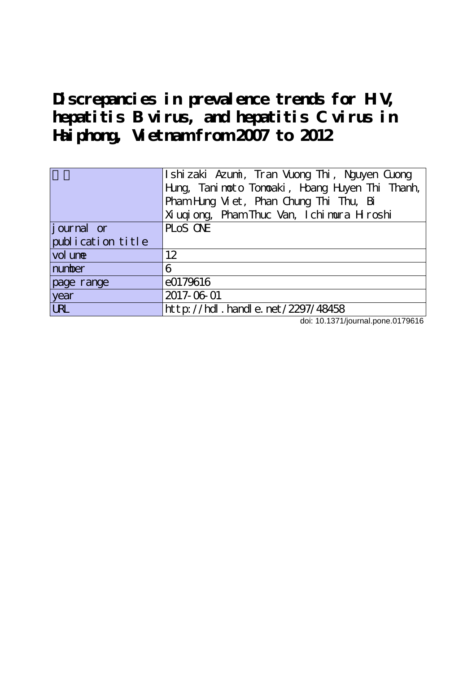**Discrepancies in prevalence trends for HIV, hepatitis B virus, and hepatitis C virus in Haiphong, Vietnam from 2007 to 2012**

|                   | Ishizaki Azumi, Tran Vuong Thi, Nguyen Guong     |  |  |  |  |  |  |
|-------------------|--------------------------------------------------|--|--|--|--|--|--|
|                   | Hung, Tani not o Tonoaki, Hoang Huyen Thi Thanh, |  |  |  |  |  |  |
|                   | Pham Hing Viet, Phan Chung Thi Thu, Bi           |  |  |  |  |  |  |
|                   | Xi ugi ong, Pham Thuc Van, I chi mura H roshi    |  |  |  |  |  |  |
| journal or        | PLOS ONE                                         |  |  |  |  |  |  |
| publication title |                                                  |  |  |  |  |  |  |
| vol une           | 12                                               |  |  |  |  |  |  |
| number            | 6                                                |  |  |  |  |  |  |
| page range        | e0179616                                         |  |  |  |  |  |  |
| year              | 2017-06-01                                       |  |  |  |  |  |  |
| <b>URL</b>        | $http$ ://hdl. handle. net/2297/48458            |  |  |  |  |  |  |

doi: 10.1371/journal.pone.0179616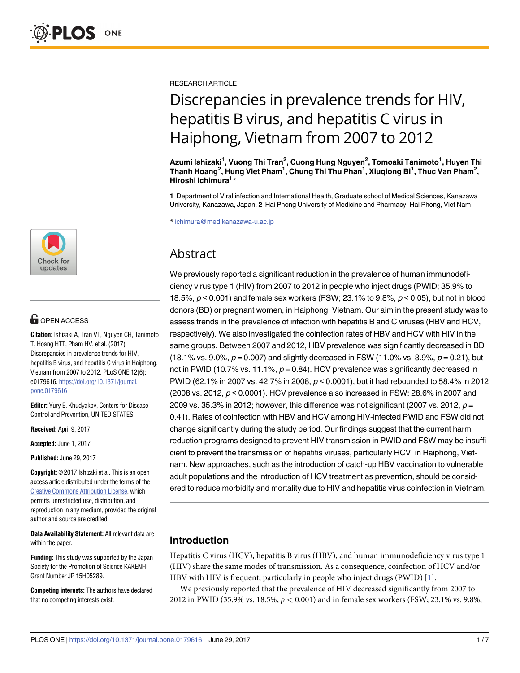

# **OPEN ACCESS**

**Citation:** Ishizaki A, Tran VT, Nguyen CH, Tanimoto T, Hoang HTT, Pham HV, et al. (2017) Discrepancies in prevalence trends for HIV, hepatitis B virus, and hepatitis C virus in Haiphong, Vietnam from 2007 to 2012. PLoS ONE 12(6): e0179616. [https://doi.org/10.1371/journal.](https://doi.org/10.1371/journal.pone.0179616) [pone.0179616](https://doi.org/10.1371/journal.pone.0179616)

**Editor:** Yury E. Khudyakov, Centers for Disease Control and Prevention, UNITED STATES

**Received:** April 9, 2017

**Accepted:** June 1, 2017

**Published:** June 29, 2017

**Copyright:** © 2017 Ishizaki et al. This is an open access article distributed under the terms of the Creative Commons [Attribution](http://creativecommons.org/licenses/by/4.0/) License, which permits unrestricted use, distribution, and reproduction in any medium, provided the original author and source are credited.

**Data Availability Statement:** All relevant data are within the paper.

**Funding:** This study was supported by the Japan Society for the Promotion of Science KAKENHI Grant Number JP 15H05289.

**Competing interests:** The authors have declared that no competing interests exist.

<span id="page-1-0"></span>RESEARCH ARTICLE

# Discrepancies in prevalence trends for HIV, hepatitis B virus, and hepatitis C virus in Haiphong, Vietnam from 2007 to 2012

**Azumi Ishizaki1 , Vuong Thi Tran2 , Cuong Hung Nguyen2 , Tomoaki Tanimoto1 , Huyen Thi Thanh Hoang2 , Hung Viet Pham1 , Chung Thi Thu Phan1 , Xiuqiong Bi1 , Thuc Van Pham2 , Hiroshi Ichimura1 \***

**1** Department of Viral infection and International Health, Graduate school of Medical Sciences, Kanazawa University, Kanazawa, Japan, **2** Hai Phong University of Medicine and Pharmacy, Hai Phong, Viet Nam

\* ichimura@med.kanazawa-u.ac.jp

## Abstract

We previously reported a significant reduction in the prevalence of human immunodeficiency virus type 1 (HIV) from 2007 to 2012 in people who inject drugs (PWID; 35.9% to 18.5%, p < 0.001) and female sex workers (FSW; 23.1% to 9.8%, p < 0.05), but not in blood donors (BD) or pregnant women, in Haiphong, Vietnam. Our aim in the present study was to assess trends in the prevalence of infection with hepatitis B and C viruses (HBV and HCV, respectively). We also investigated the coinfection rates of HBV and HCV with HIV in the same groups. Between 2007 and 2012, HBV prevalence was significantly decreased in BD (18.1% vs. 9.0%,  $p = 0.007$ ) and slightly decreased in FSW (11.0% vs. 3.9%,  $p = 0.21$ ), but not in PWID (10.7% vs. 11.1%,  $p = 0.84$ ). HCV prevalence was significantly decreased in PWID (62.1% in 2007 vs. 42.7% in 2008, p < 0.0001), but it had rebounded to 58.4% in 2012 (2008 vs. 2012,  $p < 0.0001$ ). HCV prevalence also increased in FSW: 28.6% in 2007 and 2009 vs. 35.3% in 2012; however, this difference was not significant (2007 vs. 2012,  $p =$ 0.41). Rates of coinfection with HBV and HCV among HIV-infected PWID and FSW did not change significantly during the study period. Our findings suggest that the current harm reduction programs designed to prevent HIV transmission in PWID and FSW may be insufficient to prevent the transmission of hepatitis viruses, particularly HCV, in Haiphong, Vietnam. New approaches, such as the introduction of catch-up HBV vaccination to vulnerable adult populations and the introduction of HCV treatment as prevention, should be considered to reduce morbidity and mortality due to HIV and hepatitis virus coinfection in Vietnam.

## **Introduction**

Hepatitis C virus (HCV), hepatitis B virus (HBV), and human immunodeficiency virus type 1 (HIV) share the same modes of transmission. As a consequence, coinfection of HCV and/or HBV with HIV is frequent, particularly in people who inject drugs (PWID) [[1](#page-5-0)].

We previously reported that the prevalence of HIV decreased significantly from 2007 to 2012 in PWID (35.9% vs. 18.5%, *p <* 0.001) and in female sex workers (FSW; 23.1% vs. 9.8%,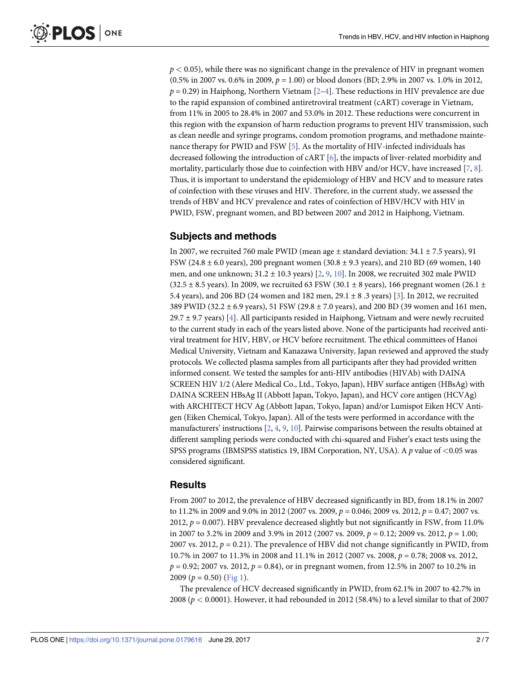<span id="page-2-0"></span>*p <* 0.05), while there was no significant change in the prevalence of HIV in pregnant women (0.5% in 2007 vs. 0.6% in 2009, *p* = 1.00) or blood donors (BD; 2.9% in 2007 vs. 1.0% in 2012,  $p = 0.29$  $p = 0.29$  $p = 0.29$ ) in Haiphong, Northern Vietnam  $[2-4]$  $[2-4]$  $[2-4]$ . These reductions in HIV prevalence are due to the rapid expansion of combined antiretroviral treatment (cART) coverage in Vietnam, from 11% in 2005 to 28.4% in 2007 and 53.0% in 2012. These reductions were concurrent in this region with the expansion of harm reduction programs to prevent HIV transmission, such as clean needle and syringe programs, condom promotion programs, and methadone maintenance therapy for PWID and FSW [\[5\]](#page-6-0). As the mortality of HIV-infected individuals has decreased following the introduction of cART [\[6\]](#page-6-0), the impacts of liver-related morbidity and mortality, particularly those due to coinfection with HBV and/or HCV, have increased [\[7,](#page-6-0) [8](#page-6-0)]. Thus, it is important to understand the epidemiology of HBV and HCV and to measure rates of coinfection with these viruses and HIV. Therefore, in the current study, we assessed the trends of HBV and HCV prevalence and rates of coinfection of HBV/HCV with HIV in PWID, FSW, pregnant women, and BD between 2007 and 2012 in Haiphong, Vietnam.

### **Subjects and methods**

In 2007, we recruited 760 male PWID (mean age  $\pm$  standard deviation: 34.1  $\pm$  7.5 years), 91 FSW (24.8 ± 6.0 years), 200 pregnant women (30.8 ± 9.3 years), and 210 BD (69 women, 140 men, and one unknown; 31.2 ± 10.3 years) [[2](#page-6-0), [9](#page-6-0), [10](#page-6-0)]. In 2008, we recruited 302 male PWID  $(32.5 \pm 8.5 \text{ years})$ . In 2009, we recruited 63 FSW (30.1  $\pm$  8 years), 166 pregnant women (26.1  $\pm$ 5.4 years), and 206 BD (24 women and 182 men, 29.1 ± 8 .3 years) [[3\]](#page-6-0). In 2012, we recruited 389 PWID (32.2 ± 6.9 years), 51 FSW (29.8 ± 7.0 years), and 200 BD (39 women and 161 men, 29.7  $\pm$  9.7 years) [\[4\]](#page-6-0). All participants resided in Haiphong, Vietnam and were newly recruited to the current study in each of the years listed above. None of the participants had received antiviral treatment for HIV, HBV, or HCV before recruitment. The ethical committees of Hanoi Medical University, Vietnam and Kanazawa University, Japan reviewed and approved the study protocols. We collected plasma samples from all participants after they had provided written informed consent. We tested the samples for anti-HIV antibodies (HIVAb) with DAINA SCREEN HIV 1/2 (Alere Medical Co., Ltd., Tokyo, Japan), HBV surface antigen (HBsAg) with DAINA SCREEN HBsAg II (Abbott Japan, Tokyo, Japan), and HCV core antigen (HCVAg) with ARCHITECT HCV Ag (Abbott Japan, Tokyo, Japan) and/or Lumispot Eiken HCV Antigen (Eiken Chemical, Tokyo, Japan). All of the tests were performed in accordance with the manufacturers' instructions [\[2](#page-6-0), [4](#page-6-0), [9](#page-6-0), [10](#page-6-0)]. Pairwise comparisons between the results obtained at different sampling periods were conducted with chi-squared and Fisher's exact tests using the SPSS programs (IBMSPSS statistics 19, IBM Corporation, NY, USA). A *p* value of *<*0.05 was considered significant.

### **Results**

From 2007 to 2012, the prevalence of HBV decreased significantly in BD, from 18.1% in 2007 to 11.2% in 2009 and 9.0% in 2012 (2007 vs. 2009, *p* = 0.046; 2009 vs. 2012, *p* = 0.47; 2007 vs. 2012,  $p = 0.007$ ). HBV prevalence decreased slightly but not significantly in FSW, from 11.0% in 2007 to 3.2% in 2009 and 3.9% in 2012 (2007 vs. 2009, *p* = 0.12; 2009 vs. 2012, *p* = 1.00; 2007 vs. 2012, *p* = 0.21). The prevalence of HBV did not change significantly in PWID, from 10.7% in 2007 to 11.3% in 2008 and 11.1% in 2012 (2007 vs. 2008, *p* = 0.78; 2008 vs. 2012, *p* = 0.92; 2007 vs. 2012, *p* = 0.84), or in pregnant women, from 12.5% in 2007 to 10.2% in 2009  $(p = 0.50)$  ([Fig](#page-3-0) 1).

The prevalence of HCV decreased significantly in PWID, from 62.1% in 2007 to 42.7% in 2008 (*p <* 0.0001). However, it had rebounded in 2012 (58.4%) to a level similar to that of 2007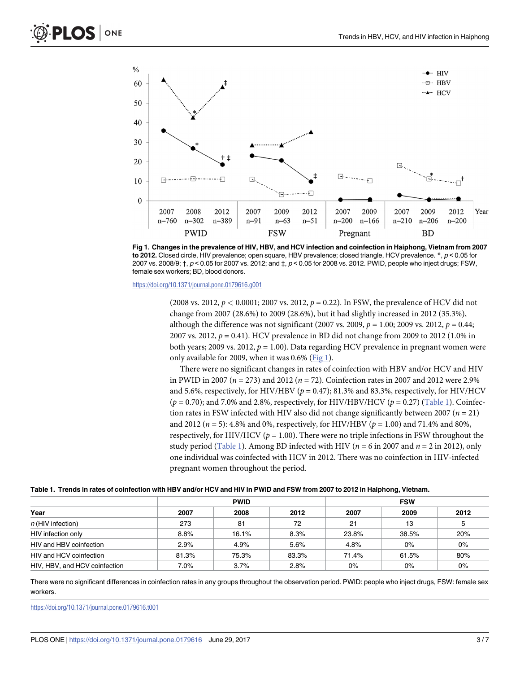<span id="page-3-0"></span>

[Fig](#page-2-0) 1. Changes in the prevalence of HIV, HBV, and HCV infection and coinfection in Haiphong, Vietnam from 2007 **to 2012.** Closed circle, HIV prevalence; open square, HBV prevalence; closed triangle, HCV prevalence. \*, p < 0.05 for 2007 vs. 2008/9;  $\dagger$ ,  $p < 0.05$  for 2007 vs. 2012; and  $\ddagger$ ,  $p < 0.05$  for 2008 vs. 2012. PWID, people who inject drugs; FSW, female sex workers; BD, blood donors.

<https://doi.org/10.1371/journal.pone.0179616.g001>

(2008 vs. 2012, *p <* 0.0001; 2007 vs. 2012, *p* = 0.22). In FSW, the prevalence of HCV did not change from 2007 (28.6%) to 2009 (28.6%), but it had slightly increased in 2012 (35.3%), although the difference was not significant (2007 vs. 2009,  $p = 1.00$ ; 2009 vs. 2012,  $p = 0.44$ ; 2007 vs. 2012, *p* = 0.41). HCV prevalence in BD did not change from 2009 to 2012 (1.0% in both years; 2009 vs. 2012, *p* = 1.00). Data regarding HCV prevalence in pregnant women were only available for 2009, when it was  $0.6\%$  (Fig 1).

There were no significant changes in rates of coinfection with HBV and/or HCV and HIV in PWID in 2007 (*n* = 273) and 2012 (*n* = 72). Coinfection rates in 2007 and 2012 were 2.9% and 5.6%, respectively, for HIV/HBV ( $p = 0.47$ ); 81.3% and 83.3%, respectively, for HIV/HCV (*p* = 0.70); and 7.0% and 2.8%, respectively, for HIV/HBV/HCV (*p* = 0.27) (Table 1). Coinfection rates in FSW infected with HIV also did not change significantly between 2007 ( $n = 21$ ) and 2012 (*n* = 5): 4.8% and 0%, respectively, for HIV/HBV (*p* = 1.00) and 71.4% and 80%, respectively, for HIV/HCV (*p* = 1.00). There were no triple infections in FSW throughout the study period (Table 1). Among BD infected with HIV ( $n = 6$  in 2007 and  $n = 2$  in 2012), only one individual was coinfected with HCV in 2012. There was no coinfection in HIV-infected pregnant women throughout the period.

| Table 1. Trends in rates of coinfection with HBV and/or HCV and HIV in PWID and FSW from 2007 to 2012 in Haiphong, Vietnam. |  |
|-----------------------------------------------------------------------------------------------------------------------------|--|
|                                                                                                                             |  |

|                               | <b>PWID</b> |       |       | <b>FSW</b> |       |       |
|-------------------------------|-------------|-------|-------|------------|-------|-------|
| Year                          | 2007        | 2008  | 2012  | 2007       | 2009  | 2012  |
| $n$ (HIV infection)           | 273         | 81    | 72    | 21         | 13    | э     |
| HIV infection only            | 8.8%        | 16.1% | 8.3%  | 23.8%      | 38.5% | 20%   |
| HIV and HBV coinfection       | 2.9%        | 4.9%  | 5.6%  | 4.8%       | 0%    | $0\%$ |
| HIV and HCV coinfection       | 81.3%       | 75.3% | 83.3% | 71.4%      | 61.5% | 80%   |
| HIV, HBV, and HCV coinfection | 7.0%        | 3.7%  | 2.8%  | $0\%$      | 0%    | $0\%$ |

There were no significant differences in coinfection rates in any groups throughout the observation period. PWID: people who inject drugs, FSW: female sex workers.

<https://doi.org/10.1371/journal.pone.0179616.t001>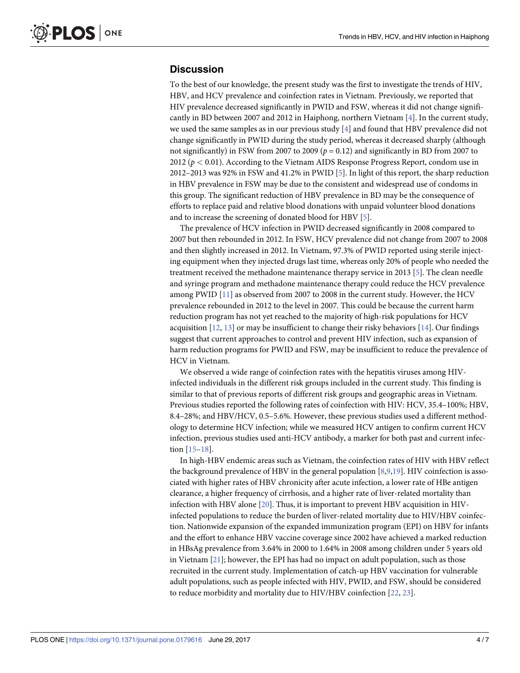#### <span id="page-4-0"></span>**Discussion**

To the best of our knowledge, the present study was the first to investigate the trends of HIV, HBV, and HCV prevalence and coinfection rates in Vietnam. Previously, we reported that HIV prevalence decreased significantly in PWID and FSW, whereas it did not change significantly in BD between 2007 and 2012 in Haiphong, northern Vietnam [[4\]](#page-6-0). In the current study, we used the same samples as in our previous study [[4](#page-6-0)] and found that HBV prevalence did not change significantly in PWID during the study period, whereas it decreased sharply (although not significantly) in FSW from 2007 to 2009 ( $p = 0.12$ ) and significantly in BD from 2007 to 2012 (*p <* 0.01). According to the Vietnam AIDS Response Progress Report, condom use in 2012–2013 was 92% in FSW and 41.2% in PWID [[5](#page-6-0)]. In light of this report, the sharp reduction in HBV prevalence in FSW may be due to the consistent and widespread use of condoms in this group. The significant reduction of HBV prevalence in BD may be the consequence of efforts to replace paid and relative blood donations with unpaid volunteer blood donations and to increase the screening of donated blood for HBV [[5](#page-6-0)].

The prevalence of HCV infection in PWID decreased significantly in 2008 compared to 2007 but then rebounded in 2012. In FSW, HCV prevalence did not change from 2007 to 2008 and then slightly increased in 2012. In Vietnam, 97.3% of PWID reported using sterile injecting equipment when they injected drugs last time, whereas only 20% of people who needed the treatment received the methadone maintenance therapy service in 2013 [\[5](#page-6-0)]. The clean needle and syringe program and methadone maintenance therapy could reduce the HCV prevalence among PWID [[11](#page-6-0)] as observed from 2007 to 2008 in the current study. However, the HCV prevalence rebounded in 2012 to the level in 2007. This could be because the current harm reduction program has not yet reached to the majority of high-risk populations for HCV acquisition  $[12, 13]$  $[12, 13]$  $[12, 13]$  $[12, 13]$  $[12, 13]$  or may be insufficient to change their risky behaviors  $[14]$ . Our findings suggest that current approaches to control and prevent HIV infection, such as expansion of harm reduction programs for PWID and FSW, may be insufficient to reduce the prevalence of HCV in Vietnam.

We observed a wide range of coinfection rates with the hepatitis viruses among HIVinfected individuals in the different risk groups included in the current study. This finding is similar to that of previous reports of different risk groups and geographic areas in Vietnam. Previous studies reported the following rates of coinfection with HIV: HCV, 35.4–100%; HBV, 8.4–28%; and HBV/HCV, 0.5–5.6%. However, these previous studies used a different methodology to determine HCV infection; while we measured HCV antigen to confirm current HCV infection, previous studies used anti-HCV antibody, a marker for both past and current infection [[15](#page-6-0)–[18\]](#page-6-0).

In high-HBV endemic areas such as Vietnam, the coinfection rates of HIV with HBV reflect the background prevalence of HBV in the general population [\[8,9](#page-6-0)[,19\]](#page-7-0). HIV coinfection is associated with higher rates of HBV chronicity after acute infection, a lower rate of HBe antigen clearance, a higher frequency of cirrhosis, and a higher rate of liver-related mortality than infection with HBV alone [[20](#page-7-0)]. Thus, it is important to prevent HBV acquisition in HIVinfected populations to reduce the burden of liver-related mortality due to HIV/HBV coinfection. Nationwide expansion of the expanded immunization program (EPI) on HBV for infants and the effort to enhance HBV vaccine coverage since 2002 have achieved a marked reduction in HBsAg prevalence from 3.64% in 2000 to 1.64% in 2008 among children under 5 years old in Vietnam [[21](#page-7-0)]; however, the EPI has had no impact on adult population, such as those recruited in the current study. Implementation of catch-up HBV vaccination for vulnerable adult populations, such as people infected with HIV, PWID, and FSW, should be considered to reduce morbidity and mortality due to HIV/HBV coinfection [\[22,](#page-7-0) [23\]](#page-7-0).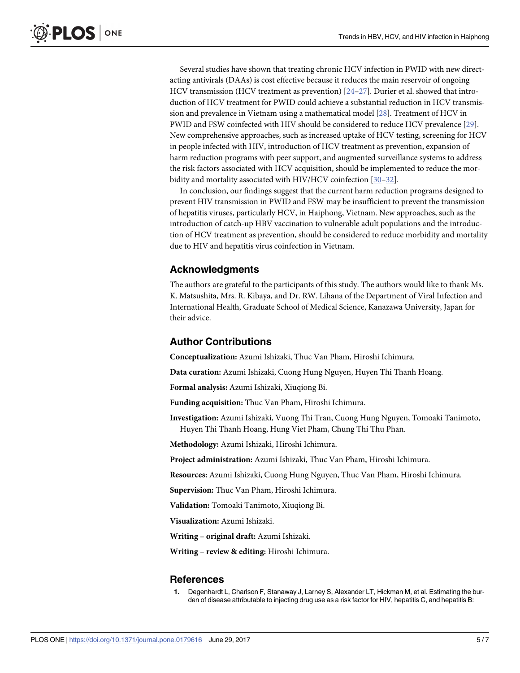<span id="page-5-0"></span>Several studies have shown that treating chronic HCV infection in PWID with new directacting antivirals (DAAs) is cost effective because it reduces the main reservoir of ongoing HCV transmission (HCV treatment as prevention)  $[24-27]$ . Durier et al. showed that introduction of HCV treatment for PWID could achieve a substantial reduction in HCV transmission and prevalence in Vietnam using a mathematical model [\[28\]](#page-7-0). Treatment of HCV in PWID and FSW coinfected with HIV should be considered to reduce HCV prevalence [[29](#page-7-0)]. New comprehensive approaches, such as increased uptake of HCV testing, screening for HCV in people infected with HIV, introduction of HCV treatment as prevention, expansion of harm reduction programs with peer support, and augmented surveillance systems to address the risk factors associated with HCV acquisition, should be implemented to reduce the morbidity and mortality associated with HIV/HCV coinfection [[30](#page-7-0)–[32\]](#page-7-0).

In conclusion, our findings suggest that the current harm reduction programs designed to prevent HIV transmission in PWID and FSW may be insufficient to prevent the transmission of hepatitis viruses, particularly HCV, in Haiphong, Vietnam. New approaches, such as the introduction of catch-up HBV vaccination to vulnerable adult populations and the introduction of HCV treatment as prevention, should be considered to reduce morbidity and mortality due to HIV and hepatitis virus coinfection in Vietnam.

#### **Acknowledgments**

The authors are grateful to the participants of this study. The authors would like to thank Ms. K. Matsushita, Mrs. R. Kibaya, and Dr. RW. Lihana of the Department of Viral Infection and International Health, Graduate School of Medical Science, Kanazawa University, Japan for their advice.

#### **Author Contributions**

**Conceptualization:** Azumi Ishizaki, Thuc Van Pham, Hiroshi Ichimura.

**Data curation:** Azumi Ishizaki, Cuong Hung Nguyen, Huyen Thi Thanh Hoang.

**Formal analysis:** Azumi Ishizaki, Xiuqiong Bi.

**Funding acquisition:** Thuc Van Pham, Hiroshi Ichimura.

**Investigation:** Azumi Ishizaki, Vuong Thi Tran, Cuong Hung Nguyen, Tomoaki Tanimoto, Huyen Thi Thanh Hoang, Hung Viet Pham, Chung Thi Thu Phan.

**Methodology:** Azumi Ishizaki, Hiroshi Ichimura.

**Project administration:** Azumi Ishizaki, Thuc Van Pham, Hiroshi Ichimura.

**Resources:** Azumi Ishizaki, Cuong Hung Nguyen, Thuc Van Pham, Hiroshi Ichimura.

**Supervision:** Thuc Van Pham, Hiroshi Ichimura.

**Validation:** Tomoaki Tanimoto, Xiuqiong Bi.

**Visualization:** Azumi Ishizaki.

**Writing – original draft:** Azumi Ishizaki.

**Writing – review & editing:** Hiroshi Ichimura.

#### **References**

**[1](#page-1-0).** Degenhardt L, Charlson F, Stanaway J, Larney S, Alexander LT, Hickman M, et al. Estimating the burden of disease attributable to injecting drug use as a risk factor for HIV, hepatitis C, and hepatitis B: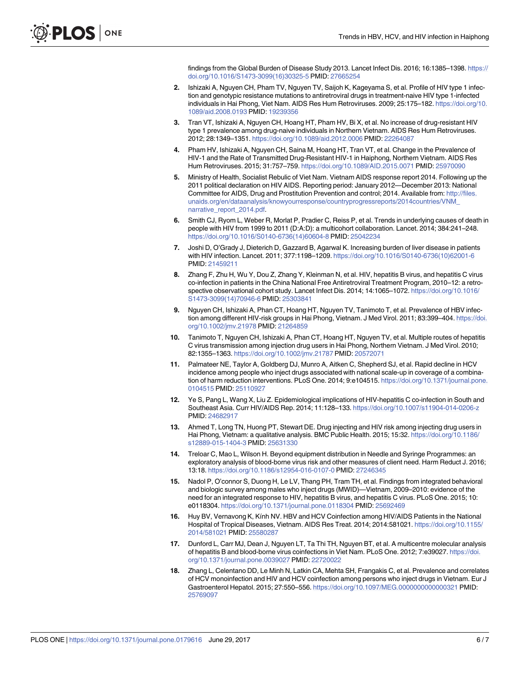findings from the Global Burden of Disease Study 2013. Lancet Infect Dis. 2016; 16:1385–1398. [https://](https://doi.org/10.1016/S1473-3099(16)30325-5) [doi.org/10.1016/S1473-3099\(16\)30325-5](https://doi.org/10.1016/S1473-3099(16)30325-5) PMID: [27665254](http://www.ncbi.nlm.nih.gov/pubmed/27665254)

- <span id="page-6-0"></span>**[2](#page-2-0).** Ishizaki A, Nguyen CH, Pham TV, Nguyen TV, Saijoh K, Kageyama S, et al. Profile of HIV type 1 infection and genotypic resistance mutations to antiretroviral drugs in treatment-naive HIV type 1-infected individuals in Hai Phong, Viet Nam. AIDS Res Hum Retroviruses. 2009; 25:175–182. [https://doi.org/10.](https://doi.org/10.1089/aid.2008.0193) [1089/aid.2008.0193](https://doi.org/10.1089/aid.2008.0193) PMID: [19239356](http://www.ncbi.nlm.nih.gov/pubmed/19239356)
- **[3](#page-2-0).** Tran VT, Ishizaki A, Nguyen CH, Hoang HT, Pham HV, Bi X, et al. No increase of drug-resistant HIV type 1 prevalence among drug-naive individuals in Northern Vietnam. AIDS Res Hum Retroviruses. 2012; 28:1349–1351. <https://doi.org/10.1089/aid.2012.0006> PMID: [22264087](http://www.ncbi.nlm.nih.gov/pubmed/22264087)
- **[4](#page-2-0).** Pham HV, Ishizaki A, Nguyen CH, Saina M, Hoang HT, Tran VT, et al. Change in the Prevalence of HIV-1 and the Rate of Transmitted Drug-Resistant HIV-1 in Haiphong, Northern Vietnam. AIDS Res Hum Retroviruses. 2015; 31:757–759. <https://doi.org/10.1089/AID.2015.0071> PMID: [25970090](http://www.ncbi.nlm.nih.gov/pubmed/25970090)
- **[5](#page-2-0).** Ministry of Health, Socialist Rebulic of Viet Nam. Vietnam AIDS response report 2014. Following up the 2011 political declaration on HIV AIDS. Reporting period: January 2012—December 2013: National Committee for AIDS, Drug and Prostitution Prevention and control; 2014. Available from: [http://files.](http://files.unaids.org/en/dataanalysis/knowyourresponse/countryprogressreports/2014countries/VNM_narrative_report_2014.pdf) [unaids.org/en/dataanalysis/knowyourresponse/countryprogressreports/2014countries/VNM\\_](http://files.unaids.org/en/dataanalysis/knowyourresponse/countryprogressreports/2014countries/VNM_narrative_report_2014.pdf) [narrative\\_report\\_2014.pdf.](http://files.unaids.org/en/dataanalysis/knowyourresponse/countryprogressreports/2014countries/VNM_narrative_report_2014.pdf)
- **[6](#page-2-0).** Smith CJ, Ryom L, Weber R, Morlat P, Pradier C, Reiss P, et al. Trends in underlying causes of death in people with HIV from 1999 to 2011 (D:A:D): a multicohort collaboration. Lancet. 2014; 384:241–248. [https://doi.org/10.1016/S0140-6736\(14\)60604-8](https://doi.org/10.1016/S0140-6736(14)60604-8) PMID: [25042234](http://www.ncbi.nlm.nih.gov/pubmed/25042234)
- **[7](#page-2-0).** Joshi D, O'Grady J, Dieterich D, Gazzard B, Agarwal K. Increasing burden of liver disease in patients with HIV infection. Lancet. 2011; 377:1198–1209. [https://doi.org/10.1016/S0140-6736\(10\)62001-6](https://doi.org/10.1016/S0140-6736(10)62001-6) PMID: [21459211](http://www.ncbi.nlm.nih.gov/pubmed/21459211)
- **[8](#page-2-0).** Zhang F, Zhu H, Wu Y, Dou Z, Zhang Y, Kleinman N, et al. HIV, hepatitis B virus, and hepatitis C virus co-infection in patients in the China National Free Antiretroviral Treatment Program, 2010–12: a retrospective observational cohort study. Lancet Infect Dis. 2014; 14:1065–1072. [https://doi.org/10.1016/](https://doi.org/10.1016/S1473-3099(14)70946-6) [S1473-3099\(14\)70946-6](https://doi.org/10.1016/S1473-3099(14)70946-6) PMID: [25303841](http://www.ncbi.nlm.nih.gov/pubmed/25303841)
- **[9](#page-2-0).** Nguyen CH, Ishizaki A, Phan CT, Hoang HT, Nguyen TV, Tanimoto T, et al. Prevalence of HBV infection among different HIV-risk groups in Hai Phong, Vietnam. J Med Virol. 2011; 83:399–404. [https://doi.](https://doi.org/10.1002/jmv.21978) [org/10.1002/jmv.21978](https://doi.org/10.1002/jmv.21978) PMID: [21264859](http://www.ncbi.nlm.nih.gov/pubmed/21264859)
- **[10](#page-2-0).** Tanimoto T, Nguyen CH, Ishizaki A, Phan CT, Hoang HT, Nguyen TV, et al. Multiple routes of hepatitis C virus transmission among injection drug users in Hai Phong, Northern Vietnam. J Med Virol. 2010; 82:1355–1363. <https://doi.org/10.1002/jmv.21787> PMID: [20572071](http://www.ncbi.nlm.nih.gov/pubmed/20572071)
- **[11](#page-4-0).** Palmateer NE, Taylor A, Goldberg DJ, Munro A, Aitken C, Shepherd SJ, et al. Rapid decline in HCV incidence among people who inject drugs associated with national scale-up in coverage of a combination of harm reduction interventions. PLoS One. 2014; 9:e104515. [https://doi.org/10.1371/journal.pone.](https://doi.org/10.1371/journal.pone.0104515) [0104515](https://doi.org/10.1371/journal.pone.0104515) PMID: [25110927](http://www.ncbi.nlm.nih.gov/pubmed/25110927)
- **[12](#page-4-0).** Ye S, Pang L, Wang X, Liu Z. Epidemiological implications of HIV-hepatitis C co-infection in South and Southeast Asia. Curr HIV/AIDS Rep. 2014; 11:128–133. <https://doi.org/10.1007/s11904-014-0206-z> PMID: [24682917](http://www.ncbi.nlm.nih.gov/pubmed/24682917)
- **[13](#page-4-0).** Ahmed T, Long TN, Huong PT, Stewart DE. Drug injecting and HIV risk among injecting drug users in Hai Phong, Vietnam: a qualitative analysis. BMC Public Health. 2015; 15:32. [https://doi.org/10.1186/](https://doi.org/10.1186/s12889-015-1404-3) [s12889-015-1404-3](https://doi.org/10.1186/s12889-015-1404-3) PMID: [25631330](http://www.ncbi.nlm.nih.gov/pubmed/25631330)
- **[14](#page-4-0).** Treloar C, Mao L, Wilson H. Beyond equipment distribution in Needle and Syringe Programmes: an exploratory analysis of blood-borne virus risk and other measures of client need. Harm Reduct J. 2016; 13:18. <https://doi.org/10.1186/s12954-016-0107-0> PMID: [27246345](http://www.ncbi.nlm.nih.gov/pubmed/27246345)
- **[15](#page-4-0).** Nadol P, O'connor S, Duong H, Le LV, Thang PH, Tram TH, et al. Findings from integrated behavioral and biologic survey among males who inject drugs (MWID)—Vietnam, 2009–2010: evidence of the need for an integrated response to HIV, hepatitis B virus, and hepatitis C virus. PLoS One. 2015; 10: e0118304. <https://doi.org/10.1371/journal.pone.0118304> PMID: [25692469](http://www.ncbi.nlm.nih.gov/pubmed/25692469)
- **16.** Huy BV, Vernavong K, Kı´nh NV. HBV and HCV Coinfection among HIV/AIDS Patients in the National Hospital of Tropical Diseases, Vietnam. AIDS Res Treat. 2014; 2014:581021. [https://doi.org/10.1155/](https://doi.org/10.1155/2014/581021) [2014/581021](https://doi.org/10.1155/2014/581021) PMID: [25580287](http://www.ncbi.nlm.nih.gov/pubmed/25580287)
- **17.** Dunford L, Carr MJ, Dean J, Nguyen LT, Ta Thi TH, Nguyen BT, et al. A multicentre molecular analysis of hepatitis B and blood-borne virus coinfections in Viet Nam. PLoS One. 2012; 7:e39027. [https://doi.](https://doi.org/10.1371/journal.pone.0039027) [org/10.1371/journal.pone.0039027](https://doi.org/10.1371/journal.pone.0039027) PMID: [22720022](http://www.ncbi.nlm.nih.gov/pubmed/22720022)
- **[18](#page-4-0).** Zhang L, Celentano DD, Le Minh N, Latkin CA, Mehta SH, Frangakis C, et al. Prevalence and correlates of HCV monoinfection and HIV and HCV coinfection among persons who inject drugs in Vietnam. Eur J Gastroenterol Hepatol. 2015; 27:550–556. <https://doi.org/10.1097/MEG.0000000000000321> PMID: [25769097](http://www.ncbi.nlm.nih.gov/pubmed/25769097)